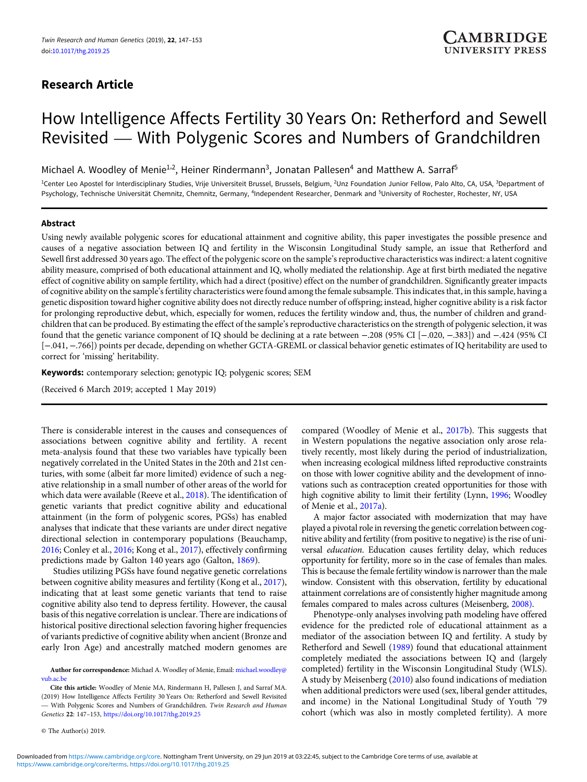## Research Article

# How Intelligence Affects Fertility 30 Years On: Retherford and Sewell Revisited — With Polygenic Scores and Numbers of Grandchildren

Michael A. Woodley of Menie<sup>1,2</sup>, Heiner Rindermann<sup>3</sup>, Jonatan Pallesen<sup>4</sup> and Matthew A. Sarraf<sup>5</sup>

<sup>1</sup>Center Leo Apostel for Interdisciplinary Studies, Vrije Universiteit Brussel, Brussels, Belgium, <sup>2</sup>Unz Foundation Junior Fellow, Palo Alto, CA, USA, <sup>3</sup>Department of Psychology, Technische Universität Chemnitz, Chemnitz, Germany, <sup>4</sup>Independent Researcher, Denmark and <sup>5</sup>University of Rochester, Rochester, NY, USA

## Abstract

Using newly available polygenic scores for educational attainment and cognitive ability, this paper investigates the possible presence and causes of a negative association between IQ and fertility in the Wisconsin Longitudinal Study sample, an issue that Retherford and Sewell first addressed 30 years ago. The effect of the polygenic score on the sample's reproductive characteristics was indirect: a latent cognitive ability measure, comprised of both educational attainment and IQ, wholly mediated the relationship. Age at first birth mediated the negative effect of cognitive ability on sample fertility, which had a direct (positive) effect on the number of grandchildren. Significantly greater impacts of cognitive ability on the sample's fertility characteristics were found among the female subsample. This indicates that, in this sample, having a genetic disposition toward higher cognitive ability does not directly reduce number of offspring; instead, higher cognitive ability is a risk factor for prolonging reproductive debut, which, especially for women, reduces the fertility window and, thus, the number of children and grandchildren that can be produced. By estimating the effect of the sample's reproductive characteristics on the strength of polygenic selection, it was found that the genetic variance component of IQ should be declining at a rate between −.208 (95% CI [−.020, −.383]) and −.424 (95% CI [−.041, −.766]) points per decade, depending on whether GCTA-GREML or classical behavior genetic estimates of IQ heritability are used to correct for 'missing' heritability.

Keywords: contemporary selection; genotypic IQ; polygenic scores; SEM

(Received 6 March 2019; accepted 1 May 2019)

There is considerable interest in the causes and consequences of associations between cognitive ability and fertility. A recent meta-analysis found that these two variables have typically been negatively correlated in the United States in the 20th and 21st centuries, with some (albeit far more limited) evidence of such a negative relationship in a small number of other areas of the world for which data were available (Reeve et al., [2018\)](#page-6-0). The identification of genetic variants that predict cognitive ability and educational attainment (in the form of polygenic scores, PGSs) has enabled analyses that indicate that these variants are under direct negative directional selection in contemporary populations (Beauchamp, [2016](#page-5-0); Conley et al., [2016;](#page-5-0) Kong et al., [2017](#page-6-0)), effectively confirming predictions made by Galton 140 years ago (Galton, [1869](#page-5-0)).

Studies utilizing PGSs have found negative genetic correlations between cognitive ability measures and fertility (Kong et al., [2017\)](#page-6-0), indicating that at least some genetic variants that tend to raise cognitive ability also tend to depress fertility. However, the causal basis of this negative correlation is unclear. There are indications of historical positive directional selection favoring higher frequencies of variants predictive of cognitive ability when ancient (Bronze and early Iron Age) and ancestrally matched modern genomes are

Cite this article: Woodley of Menie MA, Rindermann H, Pallesen J, and Sarraf MA. (2019) How Intelligence Affects Fertility 30 Years On: Retherford and Sewell Revisited - With Polygenic Scores and Numbers of Grandchildren. Twin Research and Human Genetics 22: 147–153, <https://doi.org/10.1017/thg.2019.25>

© The Author(s) 2019.

compared (Woodley of Menie et al., [2017b\)](#page-6-0). This suggests that in Western populations the negative association only arose relatively recently, most likely during the period of industrialization, when increasing ecological mildness lifted reproductive constraints on those with lower cognitive ability and the development of innovations such as contraception created opportunities for those with high cognitive ability to limit their fertility (Lynn, [1996;](#page-6-0) Woodley of Menie et al., [2017a](#page-6-0)).

A major factor associated with modernization that may have played a pivotal role in reversing the genetic correlation between cognitive ability and fertility (from positive to negative) is the rise of universal education. Education causes fertility delay, which reduces opportunity for fertility, more so in the case of females than males. This is because the female fertility window is narrower than the male window. Consistent with this observation, fertility by educational attainment correlations are of consistently higher magnitude among females compared to males across cultures (Meisenberg, [2008\).](#page-6-0)

Phenotype-only analyses involving path modeling have offered evidence for the predicted role of educational attainment as a mediator of the association between IQ and fertility. A study by Retherford and Sewell ([1989](#page-6-0)) found that educational attainment completely mediated the associations between IQ and (largely completed) fertility in the Wisconsin Longitudinal Study (WLS). A study by Meisenberg ([2010](#page-6-0)) also found indications of mediation when additional predictors were used (sex, liberal gender attitudes, and income) in the National Longitudinal Study of Youth '79 cohort (which was also in mostly completed fertility). A more

Author for correspondence: Michael A. Woodley of Menie, Email: [michael.woodley@](mailto:michael.woodley@vub.ac.be) [vub.ac.be](mailto:michael.woodley@vub.ac.be)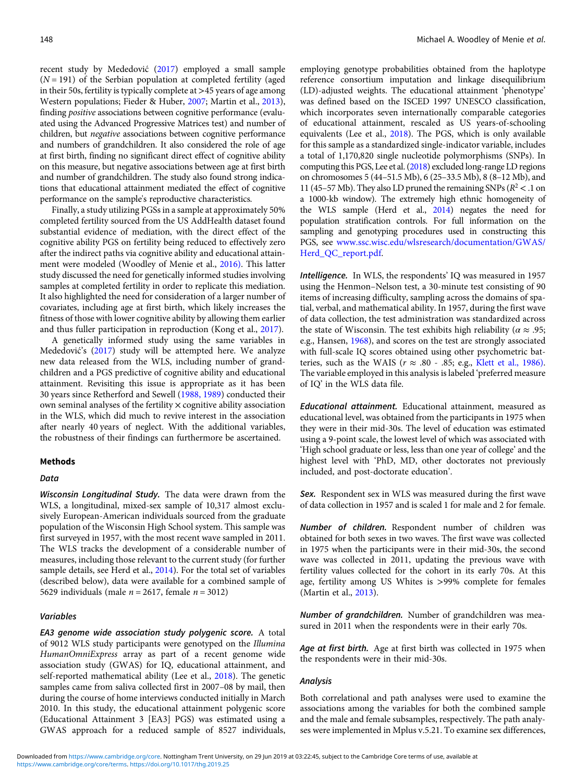recent study by Mededović [\(2017\)](#page-6-0) employed a small sample  $(N = 191)$  of the Serbian population at completed fertility (aged in their 50s, fertility is typically complete at  $>45$  years of age among Western populations; Fieder & Huber, [2007;](#page-5-0) Martin et al., [2013](#page-6-0)), finding positive associations between cognitive performance (evaluated using the Advanced Progressive Matrices test) and number of children, but negative associations between cognitive performance and numbers of grandchildren. It also considered the role of age at first birth, finding no significant direct effect of cognitive ability on this measure, but negative associations between age at first birth and number of grandchildren. The study also found strong indications that educational attainment mediated the effect of cognitive performance on the sample's reproductive characteristics.

Finally, a study utilizing PGSs in a sample at approximately 50% completed fertility sourced from the US AddHealth dataset found substantial evidence of mediation, with the direct effect of the cognitive ability PGS on fertility being reduced to effectively zero after the indirect paths via cognitive ability and educational attainment were modeled (Woodley of Menie et al., [2016\)](#page-6-0). This latter study discussed the need for genetically informed studies involving samples at completed fertility in order to replicate this mediation. It also highlighted the need for consideration of a larger number of covariates, including age at first birth, which likely increases the fitness of those with lower cognitive ability by allowing them earlier and thus fuller participation in reproduction (Kong et al., [2017\)](#page-6-0).

A genetically informed study using the same variables in Mededović's ([2017\)](#page-6-0) study will be attempted here. We analyze new data released from the WLS, including number of grandchildren and a PGS predictive of cognitive ability and educational attainment. Revisiting this issue is appropriate as it has been 30 years since Retherford and Sewell ([1988, 1989](#page-6-0)) conducted their own seminal analyses of the fertility  $\times$  cognitive ability association in the WLS, which did much to revive interest in the association after nearly 40 years of neglect. With the additional variables, the robustness of their findings can furthermore be ascertained.

## Methods

## Data

Wisconsin Longitudinal Study. The data were drawn from the WLS, a longitudinal, mixed-sex sample of 10,317 almost exclusively European-American individuals sourced from the graduate population of the Wisconsin High School system. This sample was first surveyed in 1957, with the most recent wave sampled in 2011. The WLS tracks the development of a considerable number of measures, including those relevant to the current study (for further sample details, see Herd et al., [2014\)](#page-6-0). For the total set of variables (described below), data were available for a combined sample of 5629 individuals (male  $n = 2617$ , female  $n = 3012$ )

## Variables

EA3 genome wide association study polygenic score. A total of 9012 WLS study participants were genotyped on the Illumina HumanOmniExpress array as part of a recent genome wide association study (GWAS) for IQ, educational attainment, and self-reported mathematical ability (Lee et al., [2018\)](#page-6-0). The genetic samples came from saliva collected first in 2007–08 by mail, then during the course of home interviews conducted initially in March 2010. In this study, the educational attainment polygenic score (Educational Attainment 3 [EA3] PGS) was estimated using a GWAS approach for a reduced sample of 8527 individuals,

employing genotype probabilities obtained from the haplotype reference consortium imputation and linkage disequilibrium (LD)-adjusted weights. The educational attainment 'phenotype' was defined based on the ISCED 1997 UNESCO classification, which incorporates seven internationally comparable categories of educational attainment, rescaled as US years-of-schooling equivalents (Lee et al., [2018\)](#page-6-0). The PGS, which is only available for this sample as a standardized single-indicator variable, includes a total of 1,170,820 single nucleotide polymorphisms (SNPs). In computing this PGS, Lee et al. ([2018](#page-6-0)) excluded long-range LD regions on chromosomes 5 (44–51.5 Mb), 6 (25–33.5 Mb), 8 (8–12 Mb), and 11 (45–57 Mb). They also LD pruned the remaining SNPs ( $R^2$  < .1 on a 1000-kb window). The extremely high ethnic homogeneity of the WLS sample (Herd et al., [2014\)](#page-6-0) negates the need for population stratification controls. For full information on the sampling and genotyping procedures used in constructing this PGS, see [www.ssc.wisc.edu/wlsresearch/documentation/GWAS/](www.ssc.wisc.edu/wlsresearch/documentation/GWAS/Herd_QC_report.pdf) [Herd\\_QC\\_report.pdf.](www.ssc.wisc.edu/wlsresearch/documentation/GWAS/Herd_QC_report.pdf)

Intelligence. In WLS, the respondents' IQ was measured in 1957 using the Henmon–Nelson test, a 30-minute test consisting of 90 items of increasing difficulty, sampling across the domains of spatial, verbal, and mathematical ability. In 1957, during the first wave of data collection, the test administration was standardized across the state of Wisconsin. The test exhibits high reliability ( $\alpha \approx .95$ ; e.g., Hansen, [1968\)](#page-6-0), and scores on the test are strongly associated with full-scale IQ scores obtained using other psychometric batteries, such as the WAIS ( $r \approx .80 - .85$ ; e.g., [Klett et al., 1986\)](#page-6-0). The variable employed in this analysis is labeled 'preferred measure of IQ' in the WLS data file.

Educational attainment. Educational attainment, measured as educational level, was obtained from the participants in 1975 when they were in their mid-30s. The level of education was estimated using a 9-point scale, the lowest level of which was associated with 'High school graduate or less, less than one year of college' and the highest level with 'PhD, MD, other doctorates not previously included, and post-doctorate education'.

Sex. Respondent sex in WLS was measured during the first wave of data collection in 1957 and is scaled 1 for male and 2 for female.

Number of children. Respondent number of children was obtained for both sexes in two waves. The first wave was collected in 1975 when the participants were in their mid-30s, the second wave was collected in 2011, updating the previous wave with fertility values collected for the cohort in its early 70s. At this age, fertility among US Whites is >99% complete for females (Martin et al., [2013\)](#page-6-0).

Number of grandchildren. Number of grandchildren was measured in 2011 when the respondents were in their early 70s.

Age at first birth. Age at first birth was collected in 1975 when the respondents were in their mid-30s.

## Analysis

Both correlational and path analyses were used to examine the associations among the variables for both the combined sample and the male and female subsamples, respectively. The path analyses were implemented in Mplus v.5.21. To examine sex differences,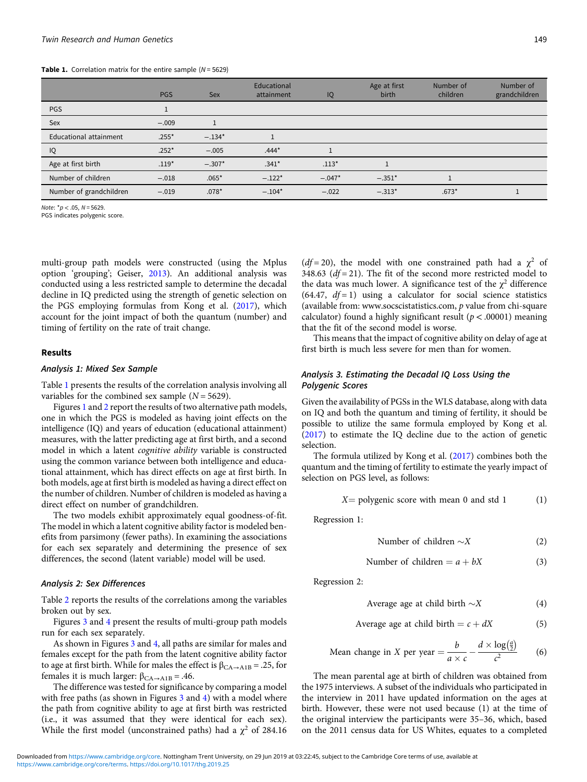#### **Table 1.** Correlation matrix for the entire sample  $(N = 5629)$

|                               | <b>PGS</b> | <b>Sex</b> | Educational<br>attainment | IQ       | Age at first<br>birth | Number of<br>children | Number of<br>grandchildren |
|-------------------------------|------------|------------|---------------------------|----------|-----------------------|-----------------------|----------------------------|
| <b>PGS</b>                    |            |            |                           |          |                       |                       |                            |
| Sex                           | $-.009$    |            |                           |          |                       |                       |                            |
| <b>Educational attainment</b> | $.255*$    | $-.134*$   |                           |          |                       |                       |                            |
| IQ                            | $.252*$    | $-.005$    | $.444*$                   |          |                       |                       |                            |
| Age at first birth            | $.119*$    | $-.307*$   | $.341*$                   | $.113*$  |                       |                       |                            |
| Number of children            | $-.018$    | $.065*$    | $-.122*$                  | $-.047*$ | $-.351*$              |                       |                            |
| Number of grandchildren       | $-.019$    | $.078*$    | $-.104*$                  | $-.022$  | $-.313*$              | $.673*$               |                            |

Note:  $*p$  < .05, N = 5629.

PGS indicates polygenic score.

multi-group path models were constructed (using the Mplus option 'grouping'; Geiser, [2013](#page-5-0)). An additional analysis was conducted using a less restricted sample to determine the decadal decline in IQ predicted using the strength of genetic selection on the PGS employing formulas from Kong et al. ([2017\)](#page-6-0), which account for the joint impact of both the quantum (number) and timing of fertility on the rate of trait change.

## Results

## Analysis 1: Mixed Sex Sample

Table 1 presents the results of the correlation analysis involving all variables for the combined sex sample  $(N = 5629)$ .

Figures [1](#page-3-0) and [2](#page-3-0) report the results of two alternative path models, one in which the PGS is modeled as having joint effects on the intelligence (IQ) and years of education (educational attainment) measures, with the latter predicting age at first birth, and a second model in which a latent cognitive ability variable is constructed using the common variance between both intelligence and educational attainment, which has direct effects on age at first birth. In both models, age at first birth is modeled as having a direct effect on the number of children. Number of children is modeled as having a direct effect on number of grandchildren.

The two models exhibit approximately equal goodness-of-fit. The model in which a latent cognitive ability factor is modeled benefits from parsimony (fewer paths). In examining the associations for each sex separately and determining the presence of sex differences, the second (latent variable) model will be used.

## Analysis 2: Sex Differences

Table [2](#page-4-0) reports the results of the correlations among the variables broken out by sex.

Figures [3](#page-4-0) and [4](#page-4-0) present the results of multi-group path models run for each sex separately.

As shown in Figures [3](#page-4-0) and [4](#page-4-0), all paths are similar for males and females except for the path from the latent cognitive ability factor to age at first birth. While for males the effect is  $\beta_{\text{CA}\rightarrow \text{A1B}} = .25$ , for females it is much larger:  $β<sub>CA→A1B</sub> = .46$ .

The difference was tested for significance by comparing a model with free paths (as shown in Figures [3](#page-4-0) and [4](#page-4-0)) with a model where the path from cognitive ability to age at first birth was restricted (i.e., it was assumed that they were identical for each sex). While the first model (unconstrained paths) had a  $\chi^2$  of 284.16 ( $df = 20$ ), the model with one constrained path had a  $\chi^2$  of 348.63 ( $df = 21$ ). The fit of the second more restricted model to the data was much lower. A significance test of the  $\chi^2$  difference (64.47,  $df = 1$ ) using a calculator for social science statistics (available from: www.socscistatistics.com, p value from chi-square calculator) found a highly significant result ( $p < .00001$ ) meaning that the fit of the second model is worse.

This means that the impact of cognitive ability on delay of age at first birth is much less severe for men than for women.

## Analysis 3. Estimating the Decadal IQ Loss Using the Polygenic Scores

Given the availability of PGSs in the WLS database, along with data on IQ and both the quantum and timing of fertility, it should be possible to utilize the same formula employed by Kong et al. [\(2017\)](#page-6-0) to estimate the IQ decline due to the action of genetic selection.

The formula utilized by Kong et al. [\(2017\)](#page-6-0) combines both the quantum and the timing of fertility to estimate the yearly impact of selection on PGS level, as follows:

$$
X = \text{polygenic score with mean 0 and std 1} \tag{1}
$$

Regression 1:

Number of children 
$$
\sim
$$
 X (2)

Number of children = 
$$
a + bX
$$
 (3)

Regression 2:

Average age at child birth  $\sim$ X  $(4)$ 

Average age at child birth = 
$$
c + dX
$$
 (5)

Mean change in X per year = 
$$
\frac{b}{a \times c} - \frac{d \times \log(\frac{a}{2})}{c^2}
$$
 (6)

The mean parental age at birth of children was obtained from the 1975 interviews. A subset of the individuals who participated in the interview in 2011 have updated information on the ages at birth. However, these were not used because (1) at the time of the original interview the participants were 35–36, which, based on the 2011 census data for US Whites, equates to a completed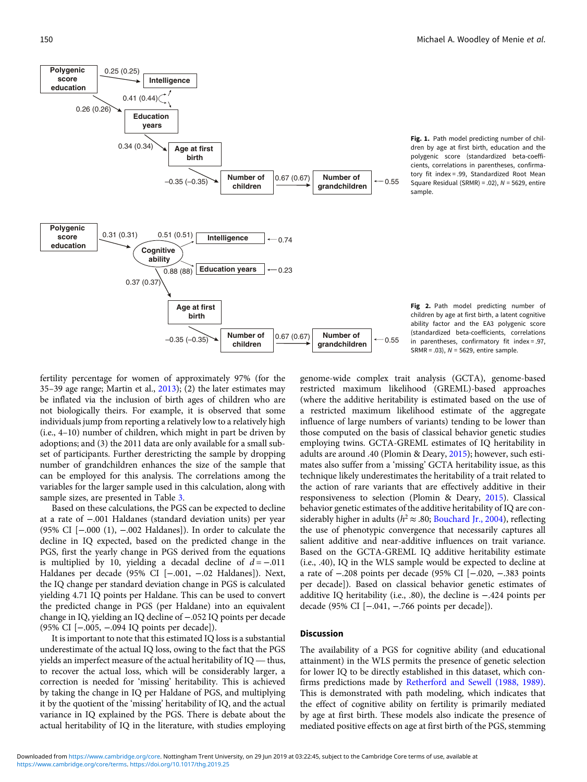<span id="page-3-0"></span>

Fig. 1. Path model predicting number of children by age at first birth, education and the polygenic score (standardized beta-coefficients, correlations in parentheses, confirmatory fit index = .99, Standardized Root Mean Square Residual (SRMR) = .02),  $N = 5629$ , entire sample.

Fig 2. Path model predicting number of children by age at first birth, a latent cognitive ability factor and the EA3 polygenic score (standardized beta-coefficients, correlations in parentheses, confirmatory fit index = .97, SRMR = .03),  $N = 5629$ , entire sample.

fertility percentage for women of approximately 97% (for the 35–39 age range; Martin et al., [2013\)](#page-6-0); (2) the later estimates may be inflated via the inclusion of birth ages of children who are not biologically theirs. For example, it is observed that some individuals jump from reporting a relatively low to a relatively high (i.e., 4–10) number of children, which might in part be driven by adoptions; and (3) the 2011 data are only available for a small subset of participants. Further derestricting the sample by dropping number of grandchildren enhances the size of the sample that can be employed for this analysis. The correlations among the variables for the larger sample used in this calculation, along with sample sizes, are presented in Table [3](#page-5-0).

Based on these calculations, the PGS can be expected to decline at a rate of −.001 Haldanes (standard deviation units) per year (95% CI [−.000 (1), −.002 Haldanes]). In order to calculate the decline in IQ expected, based on the predicted change in the PGS, first the yearly change in PGS derived from the equations is multiplied by 10, yielding a decadal decline of  $d = -0.011$ Haldanes per decade (95% CI [−.001, −.02 Haldanes]). Next, the IQ change per standard deviation change in PGS is calculated yielding 4.71 IQ points per Haldane. This can be used to convert the predicted change in PGS (per Haldane) into an equivalent change in IQ, yielding an IQ decline of −.052 IQ points per decade (95% CI [−.005, −.094 IQ points per decade]).

It is important to note that this estimated IQ loss is a substantial underestimate of the actual IQ loss, owing to the fact that the PGS Fiample in  $1Q$ , yielding an  $1Q$  decline of  $-0.052$   $1Q$  points per decade (95% CI [ $-0.05$ ,  $-0.094$  IQ points per decade]).<br>It is important to note that this estimated IQ loss is a substantial underestimate of the act to recover the actual loss, which will be considerably larger, a correction is needed for 'missing' heritability. This is achieved by taking the change in IQ per Haldane of PGS, and multiplying it by the quotient of the 'missing' heritability of IQ, and the actual variance in IQ explained by the PGS. There is debate about the actual heritability of IQ in the literature, with studies employing genome-wide complex trait analysis (GCTA), genome-based restricted maximum likelihood (GREML)-based approaches (where the additive heritability is estimated based on the use of a restricted maximum likelihood estimate of the aggregate influence of large numbers of variants) tending to be lower than those computed on the basis of classical behavior genetic studies employing twins. GCTA-GREML estimates of IQ heritability in adults are around .40 (Plomin & Deary, [2015\)](#page-6-0); however, such estimates also suffer from a 'missing' GCTA heritability issue, as this technique likely underestimates the heritability of a trait related to the action of rare variants that are effectively additive in their responsiveness to selection (Plomin & Deary, [2015\)](#page-6-0). Classical behavior genetic estimates of the additive heritability of IQ are considerably higher in adults ( $h^2 \approx .80$ ; [Bouchard Jr., 2004](#page-5-0)), reflecting the use of phenotypic convergence that necessarily captures all salient additive and near-additive influences on trait variance. Based on the GCTA-GREML IQ additive heritability estimate (i.e., .40), IQ in the WLS sample would be expected to decline at a rate of −.208 points per decade (95% CI [−.020, −.383 points per decade]). Based on classical behavior genetic estimates of additive IQ heritability (i.e., .80), the decline is −.424 points per decade (95% CI [−.041, −.766 points per decade]).

## Discussion

The availability of a PGS for cognitive ability (and educational attainment) in the WLS permits the presence of genetic selection for lower IQ to be directly established in this dataset, which confirms predictions made by [Retherford and Sewell \(1988, 1989\)](#page-6-0). This is demonstrated with path modeling, which indicates that the effect of cognitive ability on fertility is primarily mediated by age at first birth. These models also indicate the presence of mediated positive effects on age at first birth of the PGS, stemming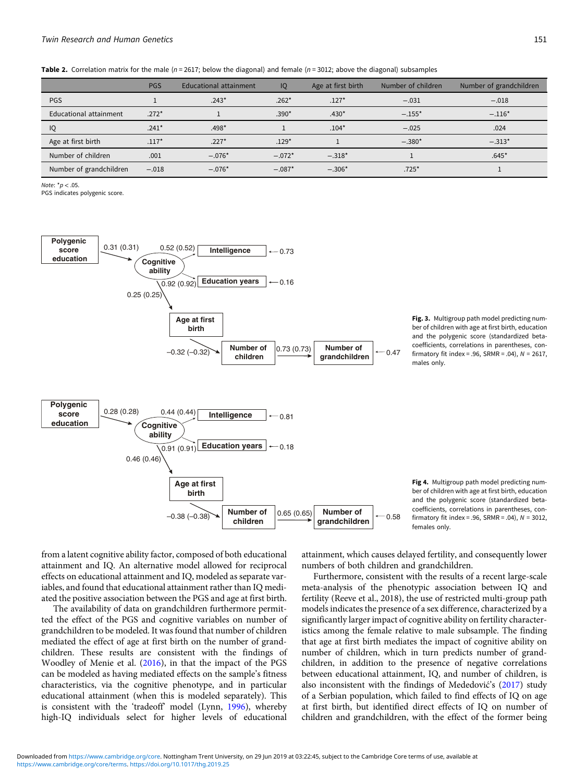<span id="page-4-0"></span>Table 2. Correlation matrix for the male ( $n = 2617$ ; below the diagonal) and female ( $n = 3012$ ; above the diagonal) subsamples

|                         | <b>PGS</b> | <b>Educational attainment</b> | IQ       | Age at first birth | Number of children | Number of grandchildren |
|-------------------------|------------|-------------------------------|----------|--------------------|--------------------|-------------------------|
| <b>PGS</b>              |            | $.243*$                       | $.262*$  | $.127*$            | $-.031$            | $-.018$                 |
| Educational attainment  | $.272*$    |                               | $.390*$  | $.430*$            | $-.155*$           | $-.116*$                |
| IQ                      | $.241*$    | $.498*$                       |          | $.104*$            | $-.025$            | .024                    |
| Age at first birth      | $.117*$    | $.227*$                       | $.129*$  |                    | $-.380*$           | $-.313*$                |
| Number of children      | .001       | $-.076*$                      | $-.072*$ | $-.318*$           |                    | $.645*$                 |
| Number of grandchildren | $-.018$    | $-.076*$                      | $-.087*$ | $-.306*$           | $.725*$            |                         |

Note:  $\sqrt[n]{p}$   $\leq 0.5$ 

PGS indicates polygenic score.



Fig. 3. Multigroup path model predicting number of children with age at first birth, education and the polygenic score (standardized betacoefficients, correlations in parentheses, confirmatory fit index = .96, SRMR = .04),  $N = 2617$ , males only.

Fig 4. Multigroup path model predicting number of children with age at first birth, education and the polygenic score (standardized betacoefficients, correlations in parentheses, confirmatory fit index = .96,  $SRMR = .04$ ),  $N = 3012$ , females only.

from a latent cognitive ability factor, composed of both educational attainment and IQ. An alternative model allowed for reciprocal effects on educational attainment and IQ, modeled as separate variables, and found that educational attainment rather than IQ mediated the positive association between the PGS and age at first birth.

The availability of data on grandchildren furthermore permitted the effect of the PGS and cognitive variables on number of grandchildren to be modeled. It was found that number of children mediated the effect of age at first birth on the number of grandchildren. These results are consistent with the findings of Woodley of Menie et al. ([2016](#page-6-0)), in that the impact of the PGS can be modeled as having mediated effects on the sample's fitness characteristics, via the cognitive phenotype, and in particular educational attainment (when this is modeled separately). This is consistent with the 'tradeoff' model (Lynn, [1996\)](#page-6-0), whereby high-IQ individuals select for higher levels of educational

attainment, which causes delayed fertility, and consequently lower numbers of both children and grandchildren.

0.58

Furthermore, consistent with the results of a recent large-scale meta-analysis of the phenotypic association between IQ and fertility (Reeve et al., 2018), the use of restricted multi-group path models indicates the presence of a sex difference, characterized by a significantly larger impact of cognitive ability on fertility characteristics among the female relative to male subsample. The finding that age at first birth mediates the impact of cognitive ability on number of children, which in turn predicts number of grandchildren, in addition to the presence of negative correlations between educational attainment, IQ, and number of children, is also inconsistent with the findings of Mededović's  $(2017)$  study of a Serbian population, which failed to find effects of IQ on age at first birth, but identified direct effects of IQ on number of children and grandchildren, with the effect of the former being

**children**

 $[-0.38 \, (-0.38)$  Number of  $\left| \frac{0.65 \, (0.65)}{2} \right|$  Number of children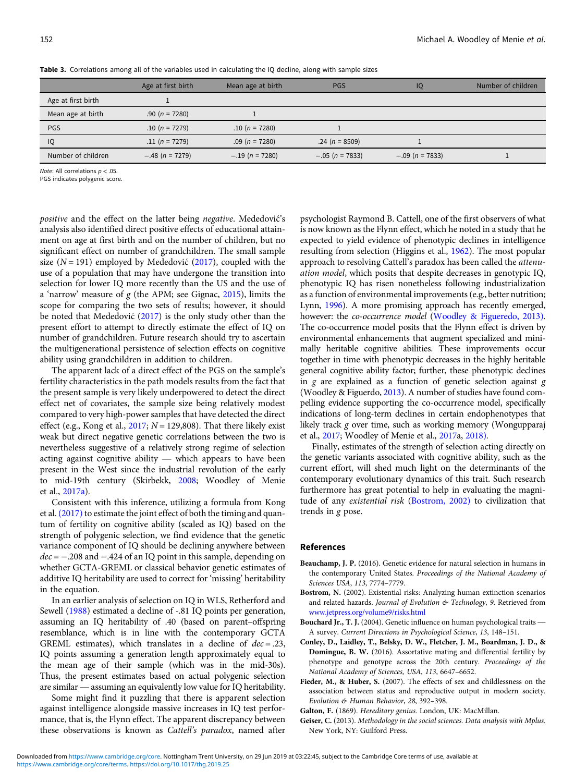|                    | Age at first birth | Mean age at birth | <b>PGS</b>        | IQ                | Number of children |
|--------------------|--------------------|-------------------|-------------------|-------------------|--------------------|
| Age at first birth |                    |                   |                   |                   |                    |
| Mean age at birth  | .90 ( $n = 7280$ ) |                   |                   |                   |                    |
| <b>PGS</b>         | $.10(n = 7279)$    | $.10(n = 7280)$   |                   |                   |                    |
| IQ                 | $.11(n = 7279)$    | $.09(n = 7280)$   | $.24(n = 8509)$   |                   |                    |
| Number of children | $-.48$ (n = 7279)  | $-.19$ (n = 7280) | $-.05 (n = 7833)$ | $-.09$ (n = 7833) |                    |

<span id="page-5-0"></span>Table 3. Correlations among all of the variables used in calculating the IQ decline, along with sample sizes

Note: All correlations  $p < .05$ .

PGS indicates polygenic score.

positive and the effect on the latter being negative. Mededović's analysis also identified direct positive effects of educational attainment on age at first birth and on the number of children, but no significant effect on number of grandchildren. The small sample size ( $N = 191$ ) employed by Mededović ([2017\)](#page-6-0), coupled with the use of a population that may have undergone the transition into selection for lower IQ more recently than the US and the use of a 'narrow' measure of  $g$  (the APM; see Gignac, [2015](#page-6-0)), limits the scope for comparing the two sets of results; however, it should be noted that Mededović  $(2017)$  $(2017)$  $(2017)$  is the only study other than the present effort to attempt to directly estimate the effect of IQ on number of grandchildren. Future research should try to ascertain the multigenerational persistence of selection effects on cognitive ability using grandchildren in addition to children.

The apparent lack of a direct effect of the PGS on the sample's fertility characteristics in the path models results from the fact that the present sample is very likely underpowered to detect the direct effect net of covariates, the sample size being relatively modest compared to very high-power samples that have detected the direct effect (e.g., Kong et al., [2017;](#page-6-0)  $N = 129,808$ ). That there likely exist weak but direct negative genetic correlations between the two is nevertheless suggestive of a relatively strong regime of selection acting against co weak but direct negative genetic correlations between the two is nevertheless suggestive of a relatively strong regime of selection present in the West since the industrial revolution of the early to mid-19th century (Skirbekk, [2008](#page-6-0); Woodley of Menie et al., [2017a](#page-6-0)).

Consistent with this inference, utilizing a formula from Kong et al.  $(2017)$  to estimate the joint effect of both the timing and quantum of fertility on cognitive ability (scaled as IQ) based on the strength of polygenic selection, we find evidence that the genetic variance component of IQ should be declining anywhere between  $dec = -.208$  and  $-.424$  of an IQ point in this sample, depending on whether GCTA-GREML or classical behavior genetic estimates of additive IQ heritability are used to correct for 'missing' heritability in the equation.

In an earlier analysis of selection on IQ in WLS, Retherford and Sewell ([1988](#page-6-0)) estimated a decline of -.81 IQ points per generation, assuming an IQ heritability of .40 (based on parent–offspring resemblance, which is in line with the contemporary GCTA GREML estimates), which translates in a decline of  $dec = .23$ , IQ points assuming a generation length approximately equal to the mean age of their sample (which was in the mid-30s). Thus, the present estimates based on actual polygenic selection EXENIL ESUMATERS), WILCH TRIBISHERS IN a decline of  $\theta \epsilon t = .25$ , IQ points assuming a generation length approximately equal to the mean age of their sample (which was in the mid-30s). Thus, the present estimates based on

Some might find it puzzling that there is apparent selection against intelligence alongside massive increases in IQ test performance, that is, the Flynn effect. The apparent discrepancy between these observations is known as Cattell's paradox, named after psychologist Raymond B. Cattell, one of the first observers of what is now known as the Flynn effect, which he noted in a study that he expected to yield evidence of phenotypic declines in intelligence resulting from selection (Higgins et al., [1962\)](#page-6-0). The most popular approach to resolving Cattell's paradox has been called the attenuation model, which posits that despite decreases in genotypic IQ, phenotypic IQ has risen nonetheless following industrialization as a function of environmental improvements (e.g., better nutrition; Lynn, [1996](#page-6-0)). A more promising approach has recently emerged, however: the *co-occurrence model* ([Woodley & Figueredo, 2013\)](#page-6-0). The co-occurrence model posits that the Flynn effect is driven by environmental enhancements that augment specialized and minimally heritable cognitive abilities. These improvements occur together in time with phenotypic decreases in the highly heritable general cognitive ability factor; further, these phenotypic declines in  $g$  are explained as a function of genetic selection against  $g$ (Woodley & Figuerdo, [2013\)](#page-6-0). A number of studies have found compelling evidence supporting the co-occurrence model, specifically indications of long-term declines in certain endophenotypes that likely track g over time, such as working memory (Wongupparaj et al., [2017](#page-6-0); Woodley of Menie et al., [2017a](#page-6-0), [2018\)](#page-6-0).

Finally, estimates of the strength of selection acting directly on the genetic variants associated with cognitive ability, such as the current effort, will shed much light on the determinants of the contemporary evolutionary dynamics of this trait. Such research furthermore has great potential to help in evaluating the magnitude of any existential risk (Bostrom, 2002) to civilization that trends in g pose.

### References

- Beauchamp, J. P. (2016). Genetic evidence for natural selection in humans in the contemporary United States. Proceedings of the National Academy of Sciences USA, 113, 7774–7779.
- Bostrom, N. (2002). Existential risks: Analyzing human extinction scenarios and related hazards. J*ournal of Evolution & Technology*, 9. Retrieved from <www.jetpress.org/volume9/risks.ht><ml> Bostrom, N. (2002). Existential risks: Analyzing human extinction scenarios and related hazards. *Journal of Evolution* & *Technology*, 9. Retrieved from www.jetpress.org/volume9/risks.html<br>Bouchard Jr., T. J. (2004). Gene
- A survey. Current Directions in Psychological Science, 13, 148–151.
- Conley, D., Laidley, T., Belsky, D. W., Fletcher, J. M., Boardman, J. D., & Domingue, B. W. (2016). Assortative mating and differential fertility by phenotype and genotype across the 20th century. Proceedings of the National Academy of Sciences, USA, 113, 6647–6652.
- Fieder, M., & Huber, S. (2007). The effects of sex and childlessness on the association between status and reproductive output in modern society. Evolution & Human Behavior, 28, 392–398.
- Galton, F. (1869). Hereditary genius. London, UK: MacMillan.
- Geiser, C. (2013). Methodology in the social sciences. Data analysis with Mplus. New York, NY: Guilford Press.